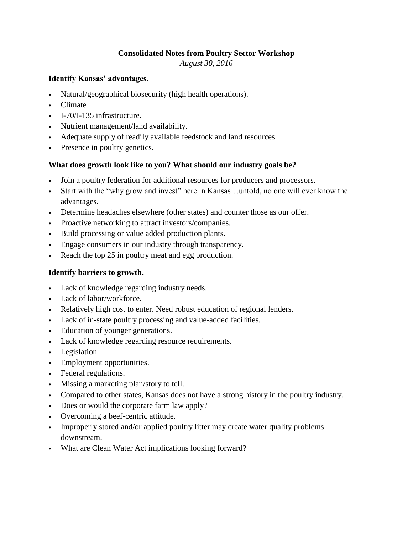### **Consolidated Notes from Poultry Sector Workshop**

*August 30, 2016*

#### **Identify Kansas' advantages.**

- Natural/geographical biosecurity (high health operations).
- Climate
- I-70/I-135 infrastructure.
- Nutrient management/land availability.
- Adequate supply of readily available feedstock and land resources.
- Presence in poultry genetics.

### **What does growth look like to you? What should our industry goals be?**

- Join a poultry federation for additional resources for producers and processors.
- Start with the "why grow and invest" here in Kansas…untold, no one will ever know the advantages.
- Determine headaches elsewhere (other states) and counter those as our offer.
- Proactive networking to attract investors/companies.
- Build processing or value added production plants.
- Engage consumers in our industry through transparency.
- Reach the top 25 in poultry meat and egg production.

### **Identify barriers to growth.**

- Lack of knowledge regarding industry needs.
- Lack of labor/workforce.
- Relatively high cost to enter. Need robust education of regional lenders.
- Lack of in-state poultry processing and value-added facilities.
- Education of younger generations.
- Lack of knowledge regarding resource requirements.
- Legislation
- Employment opportunities.
- Federal regulations.
- Missing a marketing plan/story to tell.
- Compared to other states, Kansas does not have a strong history in the poultry industry.
- Does or would the corporate farm law apply?
- Overcoming a beef-centric attitude.
- Improperly stored and/or applied poultry litter may create water quality problems downstream.
- What are Clean Water Act implications looking forward?